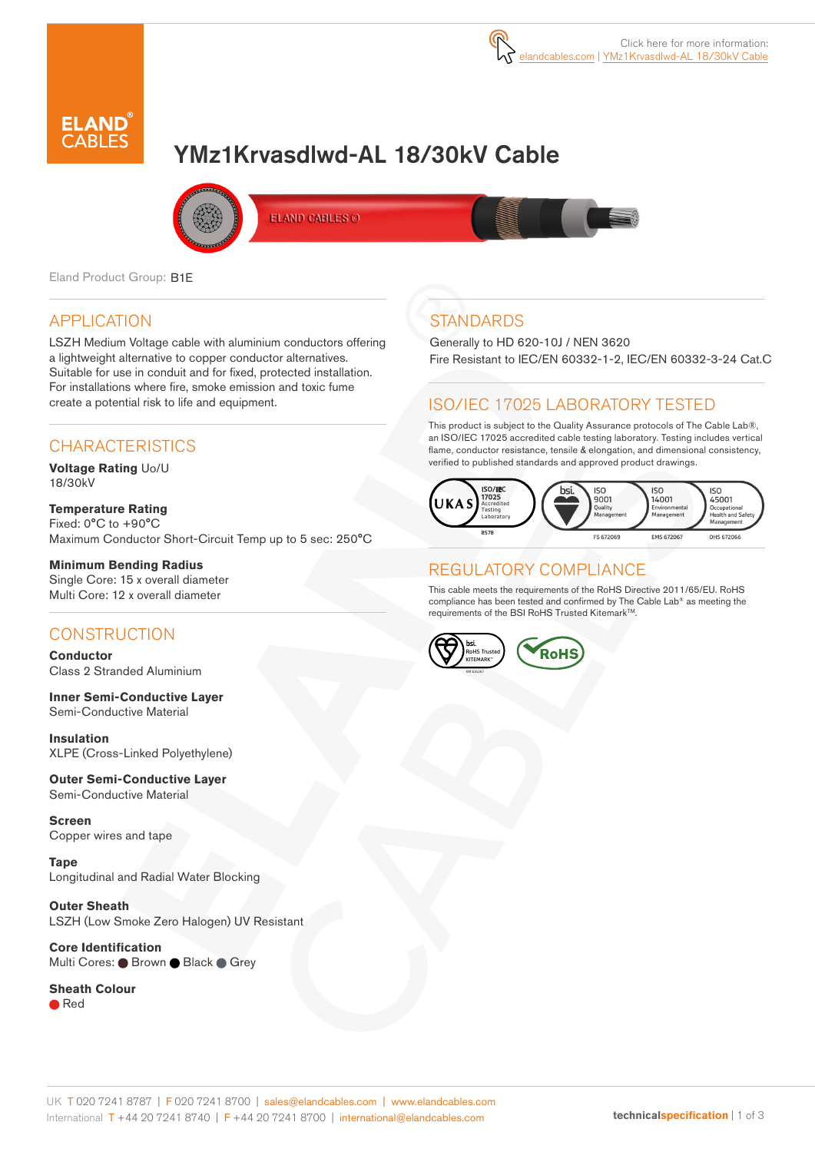

# YMz1Krvasdlwd-AL 18/30kV Cable



ELAND CABLES @

Eland Product Group: B1E

#### APPLICATION

LSZH Medium Voltage cable with aluminium conductors offering a lightweight alternative to copper conductor alternatives. Suitable for use in conduit and for fixed, protected installation. For installations where fire, smoke emission and toxic fume create a potential risk to life and equipment.

### **CHARACTERISTICS**

**Voltage Rating** Uo/U 18/30kV

**Temperature Rating** Fixed: 0°C to +90°C Maximum Conductor Short-Circuit Temp up to 5 sec: 250°C

#### **Minimum Bending Radius**

Single Core: 15 x overall diameter Multi Core: 12 x overall diameter

### **CONSTRUCTION**

**Conductor** Class 2 Stranded Aluminium

**Inner Semi-Conductive Layer** Semi-Conductive Material

**Insulation** XLPE (Cross-Linked Polyethylene)

**Outer Semi-Conductive Layer** Semi-Conductive Material

**Screen** Copper wires and tape

**Tape** Longitudinal and Radial Water Blocking

**Outer Sheath** LSZH (Low Smoke Zero Halogen) UV Resistant

**Core Identification** Multi Cores: ● Brown ● Black ● Grey

#### **Sheath Colour**

● Red

## **STANDARDS**

Generally to HD 620-10J / NEN 3620 Fire Resistant to IEC/EN 60332-1-2, IEC/EN 60332-3-24 Cat.C

### ISO/IEC 17025 LABORATORY TESTED

This product is subject to the Quality Assurance protocols of The Cable Lab®, an ISO/IEC 17025 accredited cable testing laboratory. Testing includes vertical flame, conductor resistance, tensile & elongation, and dimensional consistency, verified to published standards and approved product drawings.



#### REGULATORY COMPLIANCE

This cable meets the requirements of the RoHS Directive 2011/65/EU. RoHS compliance has been tested and confirmed by The Cable Lab® as meeting the requirements of the BSI RoHS Trusted Kitemark™



#### UK T 020 7241 8787 | F 020 7241 8700 | sales@elandcables.com | www.elandcables.com International T +44 20 7241 8740 | F +44 20 7241 8700 | international@elandcables.com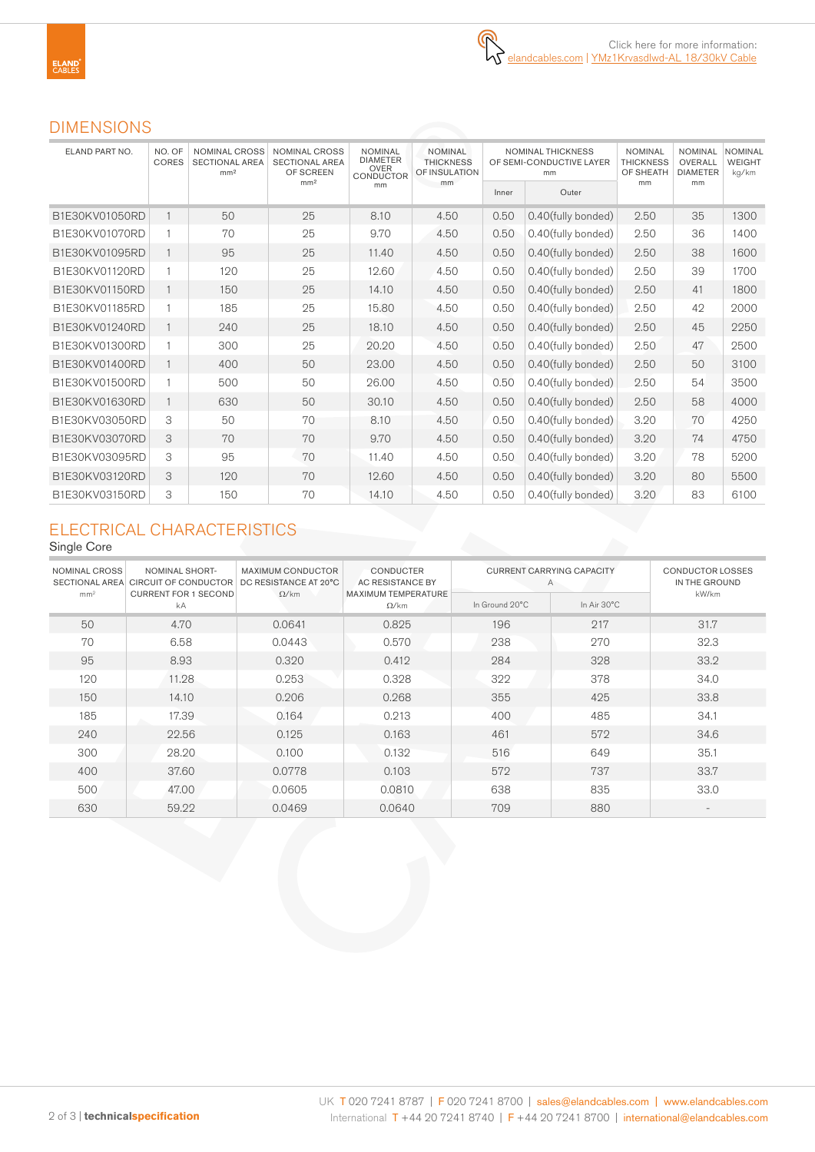#### DIMENSIONS

| ELAND PART NO. | NO. OF<br>CORES | <b>NOMINAL CROSS</b><br>SECTIONAL AREA<br>mm <sup>2</sup> | <b>NOMINAL CROSS</b><br><b>SECTIONAL AREA</b><br>OF SCREEN<br>mm <sup>2</sup> | <b>NOMINAL</b><br><b>DIAMETER</b><br><b>OVER</b><br><b>CONDUCTOR</b><br>mm | <b>NOMINAL</b><br><b>THICKNESS</b><br>OF INSULATION<br>mm | <b>NOMINAL THICKNESS</b><br>OF SEMI-CONDUCTIVE LAYER<br>mm |                    | <b>NOMINAL</b><br><b>THICKNESS</b><br>OF SHEATH | <b>NOMINAL</b><br>OVERALL<br><b>DIAMETER</b> | <b>NOMINAL</b><br><b>WEIGHT</b><br>kg/km |
|----------------|-----------------|-----------------------------------------------------------|-------------------------------------------------------------------------------|----------------------------------------------------------------------------|-----------------------------------------------------------|------------------------------------------------------------|--------------------|-------------------------------------------------|----------------------------------------------|------------------------------------------|
|                |                 |                                                           |                                                                               |                                                                            |                                                           | Inner                                                      | Outer              | mm                                              | mm                                           |                                          |
| B1E30KV01050RD | $\mathbf{1}$    | 50                                                        | 25                                                                            | 8.10                                                                       | 4.50                                                      | 0.50                                                       | 0.40(fully bonded) | 2.50                                            | 35                                           | 1300                                     |
| B1E30KV01070RD |                 | 70                                                        | 25                                                                            | 9.70                                                                       | 4.50                                                      | 0.50                                                       | 0.40(fully bonded) | 2.50                                            | 36                                           | 1400                                     |
| B1E30KV01095RD | $\mathbf{1}$    | 95                                                        | 25                                                                            | 11.40                                                                      | 4.50                                                      | 0.50                                                       | 0.40(fully bonded) | 2.50                                            | 38                                           | 1600                                     |
| B1E30KV01120RD | $\mathbf{1}$    | 120                                                       | 25                                                                            | 12.60                                                                      | 4.50                                                      | 0.50                                                       | 0.40(fully bonded) | 2.50                                            | 39                                           | 1700                                     |
| B1E30KV01150RD | $\mathbf{1}$    | 150                                                       | 25                                                                            | 14.10                                                                      | 4.50                                                      | 0.50                                                       | 0.40(fully bonded) | 2.50                                            | 41                                           | 1800                                     |
| B1E30KV01185RD |                 | 185                                                       | 25                                                                            | 15.80                                                                      | 4.50                                                      | 0.50                                                       | 0.40(fully bonded) | 2.50                                            | 42                                           | 2000                                     |
| B1E30KV01240RD | $\mathbf{1}$    | 240                                                       | 25                                                                            | 18.10                                                                      | 4.50                                                      | 0.50                                                       | 0.40(fully bonded) | 2.50                                            | 45                                           | 2250                                     |
| B1E30KV01300RD | $\mathbf{1}$    | 300                                                       | 25                                                                            | 20.20                                                                      | 4.50                                                      | 0.50                                                       | 0.40(fully bonded) | 2.50                                            | 47                                           | 2500                                     |
| B1E30KV01400RD | $\mathbf{1}$    | 400                                                       | 50                                                                            | 23.00                                                                      | 4.50                                                      | 0.50                                                       | 0.40(fully bonded) | 2.50                                            | 50                                           | 3100                                     |
| B1E30KV01500RD | $\mathbf{1}$    | 500                                                       | 50                                                                            | 26.00                                                                      | 4.50                                                      | 0.50                                                       | 0.40(fully bonded) | 2.50                                            | 54                                           | 3500                                     |
| B1E30KV01630RD | $\mathbf{1}$    | 630                                                       | 50                                                                            | 30.10                                                                      | 4.50                                                      | 0.50                                                       | 0.40(fully bonded) | 2.50                                            | 58                                           | 4000                                     |
| B1E30KV03050RD | 3               | 50                                                        | 70                                                                            | 8.10                                                                       | 4.50                                                      | 0.50                                                       | 0.40(fully bonded) | 3.20                                            | 70                                           | 4250                                     |
| B1E30KV03070RD | 3               | 70                                                        | 70                                                                            | 9.70                                                                       | 4.50                                                      | 0.50                                                       | 0.40(fully bonded) | 3.20                                            | 74                                           | 4750                                     |
| B1E30KV03095RD | 3               | 95                                                        | 70                                                                            | 11.40                                                                      | 4.50                                                      | 0.50                                                       | 0.40(fully bonded) | 3.20                                            | 78                                           | 5200                                     |
| B1E30KV03120RD | 3               | 120                                                       | 70                                                                            | 12.60                                                                      | 4.50                                                      | 0.50                                                       | 0.40(fully bonded) | 3.20                                            | 80                                           | 5500                                     |
| B1E30KV03150RD | 3               | 150                                                       | 70                                                                            | 14.10                                                                      | 4.50                                                      | 0.50                                                       | 0.40(fully bonded) | 3.20                                            | 83                                           | 6100                                     |

# ELECTRICAL CHARACTERISTICS

Single Core

| NOMINAL CROSS<br><b>SECTIONAL AREA</b> | <b>NOMINAL SHORT-</b><br>CIRCUIT OF CONDUCTOR   DC RESISTANCE AT 20°C | <b>MAXIMUM CONDUCTOR</b> | <b>CONDUCTER</b><br><b>AC RESISTANCE BY</b><br>MAXIMUM TEMPERATURE | <b>CURRENT CARRYING CAPACITY</b><br>Α | <b>CONDUCTOR LOSSES</b><br>IN THE GROUND |                   |  |
|----------------------------------------|-----------------------------------------------------------------------|--------------------------|--------------------------------------------------------------------|---------------------------------------|------------------------------------------|-------------------|--|
| mm <sup>2</sup>                        | <b>CURRENT FOR 1 SECOND</b><br>kA                                     | $\Omega$ /km             | $\Omega$ /km                                                       | In Ground 20°C                        | In Air 30°C                              | kW/km             |  |
| 50                                     | 4.70                                                                  | 0.0641                   | 0.825                                                              | 196                                   | 217                                      | 31.7              |  |
| 70                                     | 6.58                                                                  | 0.0443                   | 0.570                                                              | 238                                   | 270                                      | 32.3              |  |
| 95                                     | 8.93                                                                  | 0.320                    | 0.412                                                              | 284                                   | 328                                      | 33.2              |  |
| 120                                    | 11.28                                                                 | 0.253                    | 0.328                                                              | 322                                   | 378                                      | 34.0              |  |
| 150                                    | 14.10                                                                 | 0.206                    | 0.268                                                              | 355                                   | 425                                      | 33.8              |  |
| 185                                    | 17.39                                                                 | 0.164                    | 0.213                                                              | 400                                   | 485                                      | 34.1              |  |
| 240                                    | 22.56                                                                 | 0.125                    | 0.163                                                              | 461                                   | 572                                      | 34.6              |  |
| 300                                    | 28.20                                                                 | 0.100                    | 0.132                                                              | 516                                   | 649                                      | 35.1              |  |
| 400                                    | 37.60                                                                 | 0.0778                   | 0.103                                                              | 572                                   | 737                                      | 33.7              |  |
| 500                                    | 47.00                                                                 | 0.0605                   | 0.0810                                                             | 638                                   | 835                                      | 33.0              |  |
| 630                                    | 59.22                                                                 | 0.0469                   | 0.0640                                                             | 709                                   | 880                                      | $\qquad \qquad -$ |  |